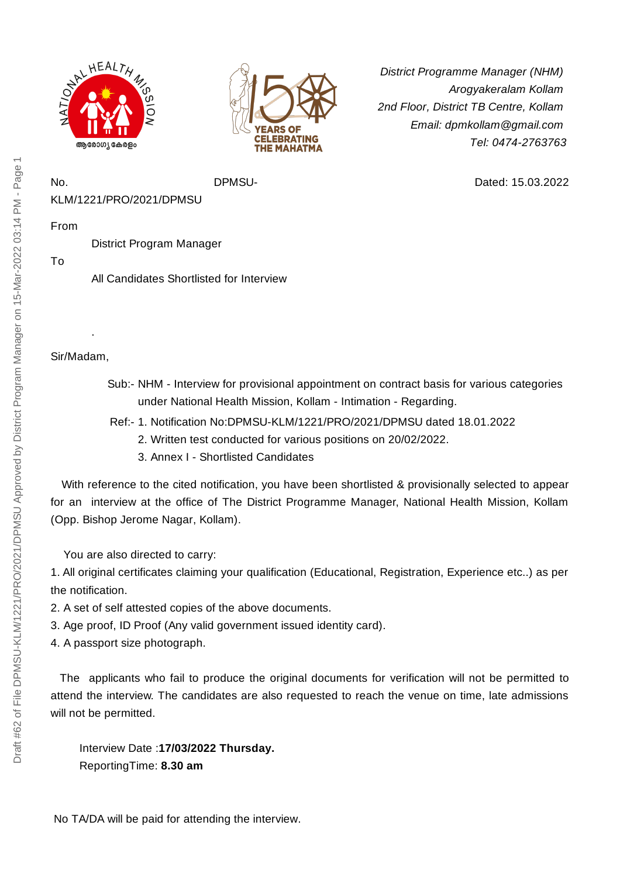



*District Programme Manager (NHM) Arogyakeralam Kollam 2nd Floor, District TB Centre, Kollam Email: dpmkollam@gmail.com Tel: 0474-2763763*

Dated: 15.03.2022

No. DPMSU-KLM/1221/PRO/2021/DPMSU

From

District Program Manager

To

All Candidates Shortlisted for Interview

Sir/Madam,

.

- Sub:- NHM Interview for provisional appointment on contract basis for various categories under National Health Mission, Kollam - Intimation - Regarding.
- Ref:- 1. Notification No:DPMSU-KLM/1221/PRO/2021/DPMSU dated 18.01.2022
	- 2. Written test conducted for various positions on 20/02/2022.
	- 3. Annex I Shortlisted Candidates

With reference to the cited notification, you have been shortlisted & provisionally selected to appear for an interview at the office of The District Programme Manager, National Health Mission, Kollam (Opp. Bishop Jerome Nagar, Kollam).

You are also directed to carry:

1. All original certificates claiming your qualification (Educational, Registration, Experience etc..) as per the notification.

- 2. A set of self attested copies of the above documents.
- 3. Age proof, ID Proof (Any valid government issued identity card).
- 4. A passport size photograph.

The applicants who fail to produce the original documents for verification will not be permitted to attend the interview. The candidates are also requested to reach the venue on time, late admissions will not be permitted.

Interview Date :**17/03/2022 Thursday.** ReportingTime: **8.30 am**

No TA/DA will be paid for attending the interview.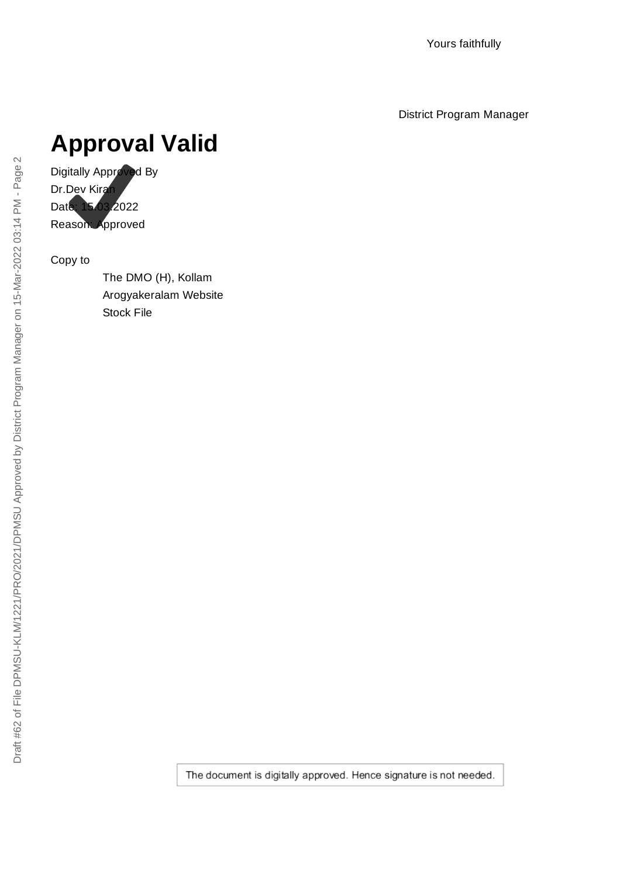District Program Manager

# **Approval Valid**

Digitally Approved By Dr.Dev Kiran Date: 15.03.2022 Reason: Approved

Copy to

The DMO (H), Kollam Arogyakeralam Website Stock File

The document is digitally approved. Hence signature is not needed.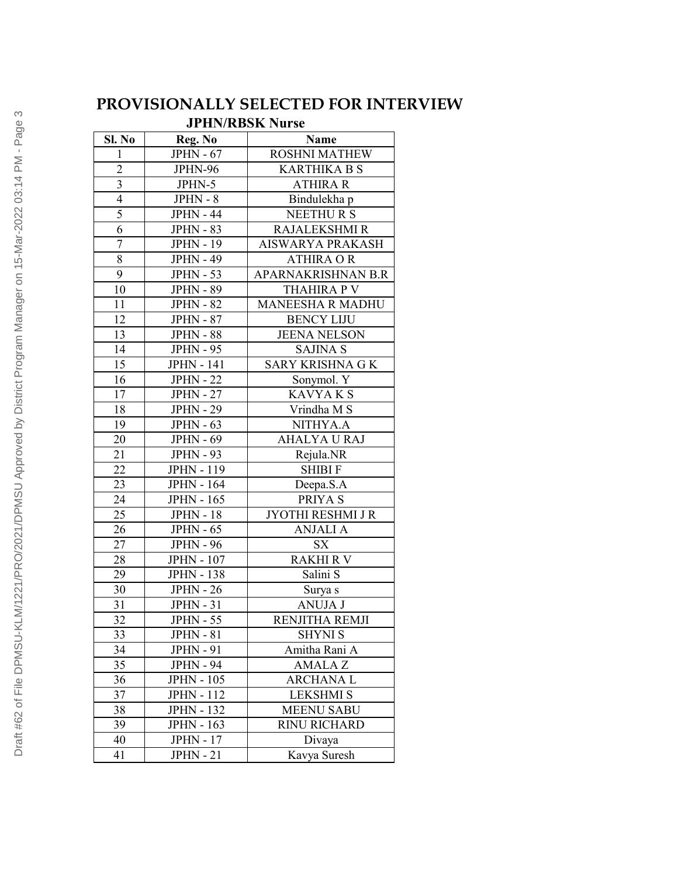## **PROVISIONALLY SELECTED FOR INTERVIEW**

#### **JPHN/RBSK Nurse**

| Sl. No                  | Reg. No           | Name                     |
|-------------------------|-------------------|--------------------------|
| $\mathbf{1}$            | <b>JPHN - 67</b>  | <b>ROSHNI MATHEW</b>     |
| $\overline{2}$          | JPHN-96           | <b>KARTHIKA B S</b>      |
| $\overline{\mathbf{3}}$ | JPHN-5            | <b>ATHIRA R</b>          |
| $\overline{4}$          | $JPHN - 8$        | Bindulekha p             |
| 5                       | <b>JPHN - 44</b>  | <b>NEETHURS</b>          |
| $\overline{6}$          | <b>JPHN - 83</b>  | <b>RAJALEKSHMI R</b>     |
| $\overline{7}$          | <b>JPHN - 19</b>  | AISWARYA PRAKASH         |
| 8                       | <b>JPHN - 49</b>  | <b>ATHIRA OR</b>         |
| 9                       | <b>JPHN - 53</b>  | APARNAKRISHNAN B.R       |
| $\overline{10}$         | <b>JPHN - 89</b>  | <b>THAHIRA P V</b>       |
| 11                      | <b>JPHN - 82</b>  | <b>MANEESHA R MADHU</b>  |
| 12                      | <b>JPHN - 87</b>  | <b>BENCY LIJU</b>        |
| 13                      | <b>JPHN - 88</b>  | <b>JEENA NELSON</b>      |
| $1\overline{4}$         | <b>JPHN - 95</b>  | <b>SAJINA S</b>          |
| 15                      | <b>JPHN - 141</b> | <b>SARY KRISHNA G K</b>  |
| 16                      | <b>JPHN - 22</b>  | Sonymol. Y               |
| 17                      | <b>JPHN - 27</b>  | <b>KAVYAKS</b>           |
| 18                      | <b>JPHN - 29</b>  | Vrindha M S              |
| 19                      | $JPHN - 63$       | NITHYA.A                 |
| 20                      | <b>JPHN - 69</b>  | <b>AHALYA U RAJ</b>      |
| $21\,$                  | <b>JPHN - 93</b>  | Rejula.NR                |
| 22                      | <b>JPHN - 119</b> | <b>SHIBI F</b>           |
| 23                      | <b>JPHN - 164</b> | Deepa.S.A                |
| 24                      | <b>JPHN - 165</b> | PRIYA S                  |
| $\overline{25}$         | <b>JPHN - 18</b>  | <b>JYOTHI RESHMI J R</b> |
| 26                      | <b>JPHN - 65</b>  | <b>ANJALI A</b>          |
| 27                      | <b>JPHN - 96</b>  | <b>SX</b>                |
| 28                      | <b>JPHN - 107</b> | <b>RAKHI R V</b>         |
| 29                      | <b>JPHN - 138</b> | Salini S                 |
| 30                      | <b>JPHN - 26</b>  | Surya s                  |
| 31                      | <b>JPHN - 31</b>  | <b>ANUJA J</b>           |
| 32                      | $JPHN - 55$       | RENJITHA REMJI           |
| 33                      | <b>JPHN - 81</b>  | <b>SHYNI S</b>           |
| 34                      | <b>JPHN - 91</b>  | Amitha Rani A            |
| 35                      | <b>JPHN - 94</b>  | <b>AMALAZ</b>            |
| 36                      | <b>JPHN - 105</b> | <b>ARCHANAL</b>          |
| 37                      | <b>JPHN - 112</b> | <b>LEKSHMI S</b>         |
| 38                      | <b>JPHN - 132</b> | <b>MEENU SABU</b>        |
| 39                      | <b>JPHN - 163</b> | RINU RICHARD             |
| 40                      | <b>JPHN - 17</b>  | Divaya                   |
| 41                      | <b>JPHN</b> - 21  | Kavya Suresh             |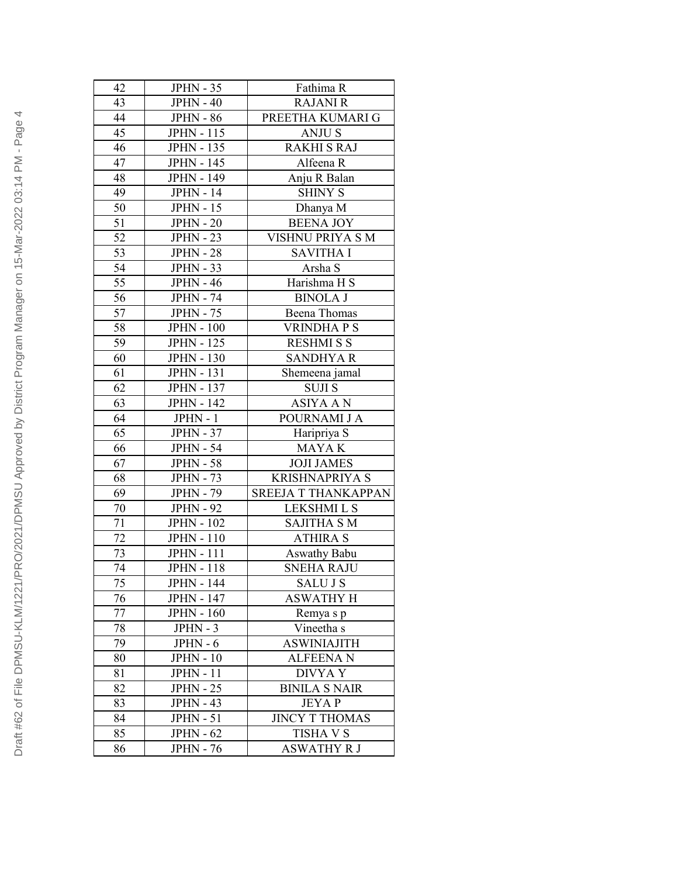| 42              | <b>JPHN - 35</b>  | Fathima R                  |
|-----------------|-------------------|----------------------------|
| 43              | $JPHN - 40$       | <b>RAJANI R</b>            |
| 44              | <b>JPHN - 86</b>  |                            |
|                 |                   | PREETHA KUMARI G           |
| 45              | <b>JPHN - 115</b> | <b>ANJUS</b>               |
| 46              | <b>JPHN - 135</b> | <b>RAKHI S RAJ</b>         |
| 47              | <b>JPHN - 145</b> | Alfeena R                  |
| 48              | <b>JPHN - 149</b> | Anju R Balan               |
| 49              | <b>JPHN - 14</b>  | <b>SHINY S</b>             |
| 50              | <b>JPHN - 15</b>  | Dhanya M                   |
| $\overline{51}$ | <b>JPHN - 20</b>  | <b>BEENA JOY</b>           |
| $\overline{52}$ | <b>JPHN - 23</b>  | VISHNU PRIYA S M           |
| 53              | <b>JPHN - 28</b>  | <b>SAVITHA I</b>           |
| $\overline{54}$ | <b>JPHN - 33</b>  | Arsha S                    |
| $\overline{55}$ | <b>JPHN - 46</b>  | Harishma H S               |
| $\overline{56}$ | <b>JPHN - 74</b>  | <b>BINOLA J</b>            |
| 57              | <b>JPHN - 75</b>  | <b>Beena</b> Thomas        |
| 58              | <b>JPHN - 100</b> | <b>VRINDHAPS</b>           |
| 59              | <b>JPHN - 125</b> | <b>RESHMI S S</b>          |
| 60              | <b>JPHN - 130</b> | <b>SANDHYAR</b>            |
| 61              | <b>JPHN - 131</b> | Shemeena jamal             |
| 62              | <b>JPHN - 137</b> | <b>SUJIS</b>               |
| 63              | <b>JPHN - 142</b> | <b>ASIYA A N</b>           |
| 64              | $JPHN - 1$        | POURNAMI J A               |
| 65              | <b>JPHN - 37</b>  | Haripriya S                |
| 66              | <b>JPHN - 54</b>  | MAYA K                     |
| 67              | <b>JPHN - 58</b>  | <b>JOJI JAMES</b>          |
| 68              | <b>JPHN - 73</b>  | <b>KRISHNAPRIYA S</b>      |
| 69              | <b>JPHN - 79</b>  | <b>SREEJA T THANKAPPAN</b> |
| 70              | <b>JPHN - 92</b>  | <b>LEKSHMI L S</b>         |
| 71              | <b>JPHN - 102</b> | SAJITHA S M                |
| 72              | <b>JPHN - 110</b> | <b>ATHIRA S</b>            |
| 73              | <b>JPHN</b> - 111 | <b>Aswathy Babu</b>        |
| 74              | JPHN - $118$      | <b>SNEHA RAJU</b>          |
| 75              | <b>JPHN - 144</b> | <b>SALUJS</b>              |
| 76              | <b>JPHN - 147</b> | <b>ASWATHY H</b>           |
| 77              | <b>JPHN - 160</b> | Remya s p                  |
| 78              | $JPHN - 3$        | Vineetha s                 |
| 79              | $JPHN - 6$        | <b>ASWINIAJITH</b>         |
| 80              | <b>JPHN - 10</b>  | <b>ALFEENA N</b>           |
| 81              | <b>JPHN - 11</b>  | <b>DIVYAY</b>              |
| 82              | <b>JPHN - 25</b>  | <b>BINILA S NAIR</b>       |
| 83              | <b>JPHN - 43</b>  | <b>JEYAP</b>               |
| 84              | <b>JPHN - 51</b>  | <b>JINCY T THOMAS</b>      |
| 85              | <b>JPHN - 62</b>  | <b>TISHA V S</b>           |
| 86              | <b>JPHN - 76</b>  | <b>ASWATHY R J</b>         |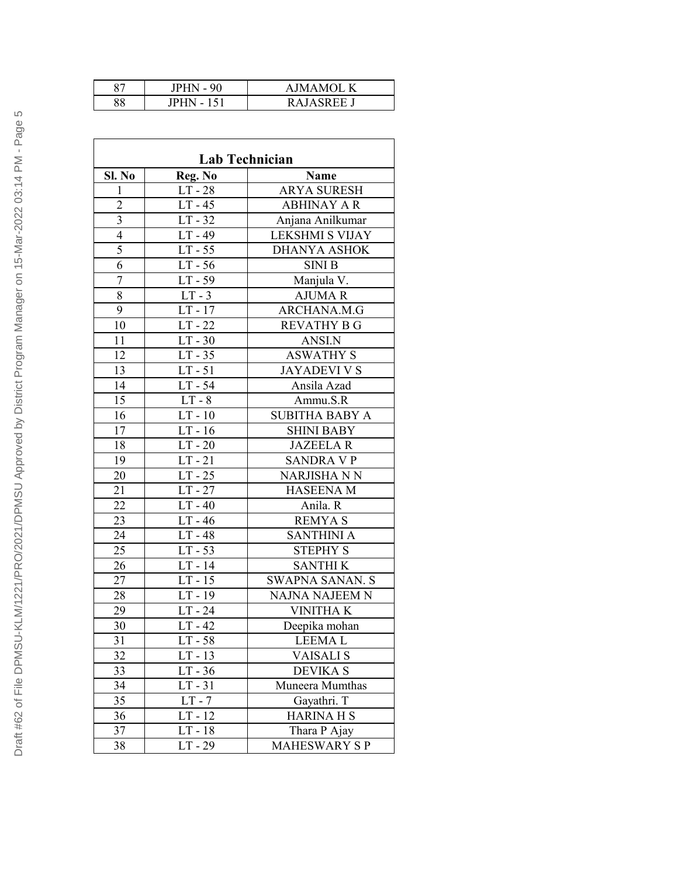| $\circ$<br>o, | $JPHN - 90$   | K<br>AIMAMOL.   |
|---------------|---------------|-----------------|
| 88            | IPH<br>$\sim$ | KА<br><b>EE</b> |

| Lab Technician          |           |                        |
|-------------------------|-----------|------------------------|
| Sl. No                  | Reg. No   | <b>Name</b>            |
| 1                       | $LT - 28$ | <b>ARYA SURESH</b>     |
| $\overline{2}$          | $LT - 45$ | <b>ABHINAY A R</b>     |
| $\overline{\mathbf{3}}$ | $LT - 32$ | Anjana Anilkumar       |
| $\overline{4}$          | $LT - 49$ | <b>LEKSHMI S VIJAY</b> |
| $\overline{5}$          | $LT - 55$ | <b>DHANYA ASHOK</b>    |
| 6                       | $LT - 56$ | <b>SINI B</b>          |
| $\overline{7}$          | $LT - 59$ | Manjula V.             |
| 8                       | $LT - 3$  | <b>AJUMAR</b>          |
| 9                       | $LT - 17$ | ARCHANA.M.G            |
| 10                      | $LT - 22$ | <b>REVATHY B G</b>     |
| 11                      | $LT - 30$ | ANSI.N                 |
| 12                      | $LT - 35$ | <b>ASWATHY S</b>       |
| 13                      | $LT - 51$ | <b>JAYADEVI V S</b>    |
| 14                      | $LT - 54$ | Ansila Azad            |
| $\overline{15}$         | $LT - 8$  | Ammu.S.R               |
| 16                      | $LT - 10$ | <b>SUBITHA BABY A</b>  |
| 17                      | $LT - 16$ | <b>SHINI BABY</b>      |
| 18                      | $LT - 20$ | <b>JAZEELAR</b>        |
| 19                      | $LT - 21$ | <b>SANDRA V P</b>      |
| 20                      | $LT - 25$ | <b>NARJISHA N N</b>    |
| 21                      | $LT - 27$ | <b>HASEENA M</b>       |
| 22                      | $LT - 40$ | Anila. R               |
| 23                      | $LT - 46$ | <b>REMYAS</b>          |
| 24                      | $LT - 48$ | <b>SANTHINI A</b>      |
| 25                      | $LT - 53$ | <b>STEPHY S</b>        |
| 26                      | $LT - 14$ | <b>SANTHIK</b>         |
| 27                      | $LT - 15$ | <b>SWAPNA SANAN. S</b> |
| 28                      | $LT - 19$ | NAJNA NAJEEM N         |
| 29                      | $LT - 24$ | <b>VINITHAK</b>        |
| 30                      | $LT - 42$ | Deepika mohan          |
| 31                      | LT - 58   | <b>LEEMAL</b>          |
| 32                      | $LT - 13$ | <b>VAISALI S</b>       |
| 33                      | $LT - 36$ | <b>DEVIKA S</b>        |
| 34                      | $LT - 31$ | Muneera Mumthas        |
| 35                      | $LT - 7$  | Gayathri. T            |
| 36                      | $LT - 12$ | <b>HARINA H S</b>      |
| 37                      | $LT - 18$ | Thara P Ajay           |
| 38                      | $LT - 29$ | <b>MAHESWARY SP</b>    |